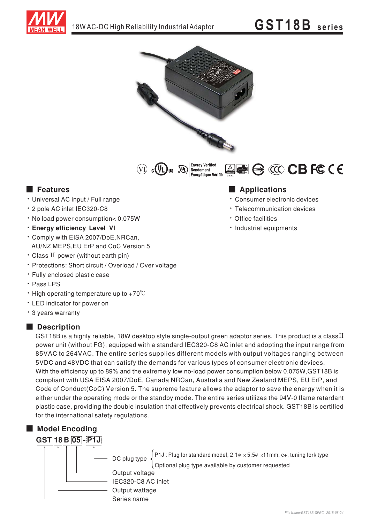

# **GST18B** series





**Energy Verified** ACC CBFCCE .............<br>Énergétique Vérifié

#### **E** Features

- · Universal AC input / Full range
- \* 2 pole AC inlet IEC320-C8
- . No load power consumption< 0.075W
- **· Enerav efficiency Level VI**
- \* Comply with EISA 2007/DoE, NRCan, AU/NZ MEPS, EU ErP and CoC Version 5
- · Class II power (without earth pin)
- · Protections: Short circuit / Overload / Over voltage
- · Fully enclosed plastic case
- · Pass LPS
- High operating temperature up to  $+70^{\circ}$ C
- LED indicator for power on
- \* 3 years warranty

#### **Description**

GST18B is a highly reliable, 18W desktop style single-output green adaptor series. This product is a class II power unit (without FG), equipped with a standard IEC320-C8 AC inlet and adopting the input range from 85VAC to 264VAC. The entire series supplies different models with output voltages ranging between 5VDC and 48VDC that can satisfy the demands for various types of consumer electronic devices. With the efficiency up to 89% and the extremely low no-load power consumption below 0.075W, GST18B is compliant with USA EISA 2007/DoE, Canada NRCan, Australia and New Zealand MEPS, EU ErP, and Code of Conduct(CoC) Version 5. The supreme feature allows the adaptor to save the energy when it is either under the operating mode or the standby mode. The entire series utilizes the 94V-0 flame retardant plastic case, providing the double insulation that effectively prevents electrical shock. GST18B is certified for the international safety regulations.



### **Applications**

- · Consumer electronic devices
- Telecommunication devices
- · Office facilities
- · Industrial equipments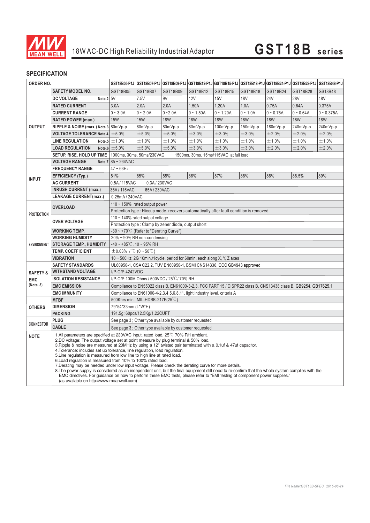

#### **SPECIFICATION**

| ORDER NO.           |                                                                                                                                                                                                                                                                                                                                                                                                                                                                                                                                                                                                                                                                                                                                                                                                                                                                                                                                                                        |                                                                                                                  |                                                                         |            | GST18B05-P1J GST18B07-P1J GST18B09-P1J GST18B12-P1J GST18B15-P1J GST18B18-P1J GST18B24-P1J GST18B28-P1J |             |            |             |             | <b>GST18B48-P1J</b> |
|---------------------|------------------------------------------------------------------------------------------------------------------------------------------------------------------------------------------------------------------------------------------------------------------------------------------------------------------------------------------------------------------------------------------------------------------------------------------------------------------------------------------------------------------------------------------------------------------------------------------------------------------------------------------------------------------------------------------------------------------------------------------------------------------------------------------------------------------------------------------------------------------------------------------------------------------------------------------------------------------------|------------------------------------------------------------------------------------------------------------------|-------------------------------------------------------------------------|------------|---------------------------------------------------------------------------------------------------------|-------------|------------|-------------|-------------|---------------------|
|                     | <b>SAFETY MODEL NO.</b>                                                                                                                                                                                                                                                                                                                                                                                                                                                                                                                                                                                                                                                                                                                                                                                                                                                                                                                                                | GST18B05                                                                                                         | GST18B07                                                                | GST18B09   | GST18B12                                                                                                | GST18B15    | GST18B18   | GST18B24    | GST18B28    | GS18B48             |
| <b>OUTPUT</b>       | Note.2 5V<br><b>DC VOLTAGE</b>                                                                                                                                                                                                                                                                                                                                                                                                                                                                                                                                                                                                                                                                                                                                                                                                                                                                                                                                         |                                                                                                                  | 7.5V                                                                    | 9V         | <b>12V</b>                                                                                              | 15V         | <b>18V</b> | <b>24V</b>  | <b>28V</b>  | 48V                 |
|                     | <b>RATED CURRENT</b>                                                                                                                                                                                                                                                                                                                                                                                                                                                                                                                                                                                                                                                                                                                                                                                                                                                                                                                                                   | 3.0A                                                                                                             | 2.0A                                                                    | 2.0A       | 1.50A                                                                                                   | 1.20A       | 1.0A       | 0.75A       | 0.64A       | 0.375A              |
|                     | <b>CURRENT RANGE</b>                                                                                                                                                                                                                                                                                                                                                                                                                                                                                                                                                                                                                                                                                                                                                                                                                                                                                                                                                   | $0 - 3.0A$                                                                                                       | $0 - 2.0A$                                                              | $0 - 2.0A$ | $0 - 1.50A$                                                                                             | $0 - 1.20A$ | $0 - 1.0A$ | $0 - 0.75A$ | $0 - 0.64A$ | $0 - 0.375A$        |
|                     | <b>RATED POWER (max.)</b>                                                                                                                                                                                                                                                                                                                                                                                                                                                                                                                                                                                                                                                                                                                                                                                                                                                                                                                                              | <b>15W</b>                                                                                                       | <b>15W</b>                                                              | <b>18W</b> | <b>18W</b>                                                                                              | <b>18W</b>  | <b>18W</b> | <b>18W</b>  | <b>18W</b>  | <b>18W</b>          |
|                     | RIPPLE & NOISE (max.) Note.3 80mVp-p                                                                                                                                                                                                                                                                                                                                                                                                                                                                                                                                                                                                                                                                                                                                                                                                                                                                                                                                   |                                                                                                                  | 80mVp-p                                                                 | 80mVp-p    | 80mVp-p                                                                                                 | $100mVp-p$  | 150mVp-p   | 180mVp-p    | 240mVp-p    | 240mVp-p            |
|                     | <b>VOLTAGE TOLERANCE Note.4</b> $\pm$ 5.0%                                                                                                                                                                                                                                                                                                                                                                                                                                                                                                                                                                                                                                                                                                                                                                                                                                                                                                                             |                                                                                                                  | ±5.0%                                                                   | ±5.0%      | ±3.0%                                                                                                   | ±3.0%       | ±3.0%      | ±2.0%       | ±2.0%       | ±2.0%               |
|                     | <b>LINE REGULATION</b>                                                                                                                                                                                                                                                                                                                                                                                                                                                                                                                                                                                                                                                                                                                                                                                                                                                                                                                                                 | Note.5 $\pm$ 1.0%                                                                                                | ±1.0%                                                                   | ±1.0%      | ±1.0%                                                                                                   | ±1.0%       | ±1.0%      | ±1.0%       | ±1.0%       | ±1.0%               |
|                     | <b>LOAD REGULATION</b>                                                                                                                                                                                                                                                                                                                                                                                                                                                                                                                                                                                                                                                                                                                                                                                                                                                                                                                                                 | Note.6 $\pm$ 5.0%                                                                                                | ±5.0%                                                                   | ±5.0%      | ±3.0%                                                                                                   | ±3.0%       | ±3.0%      | ±2.0%       | ±2.0%       | ±2.0%               |
|                     | <b>SETUP, RISE, HOLD UP TIME</b>   1000ms, 30ms, 50ms/230VAC                                                                                                                                                                                                                                                                                                                                                                                                                                                                                                                                                                                                                                                                                                                                                                                                                                                                                                           |                                                                                                                  | 1500ms, 30ms, 15ms/115VAC at full load                                  |            |                                                                                                         |             |            |             |             |                     |
|                     | <b>VOLTAGE RANGE</b>                                                                                                                                                                                                                                                                                                                                                                                                                                                                                                                                                                                                                                                                                                                                                                                                                                                                                                                                                   | Note.7 $85 - 264$ VAC                                                                                            |                                                                         |            |                                                                                                         |             |            |             |             |                     |
| <b>INPUT</b>        | <b>FREQUENCY RANGE</b>                                                                                                                                                                                                                                                                                                                                                                                                                                                                                                                                                                                                                                                                                                                                                                                                                                                                                                                                                 | $47 \sim 63$ Hz                                                                                                  |                                                                         |            |                                                                                                         |             |            |             |             |                     |
|                     | <b>EFFICIENCY (Typ.)</b>                                                                                                                                                                                                                                                                                                                                                                                                                                                                                                                                                                                                                                                                                                                                                                                                                                                                                                                                               | 81%                                                                                                              | 85%                                                                     | 85%        | 86%                                                                                                     | 87%         | 88%        | 88%         | 88.5%       | 89%                 |
|                     | <b>AC CURRENT</b>                                                                                                                                                                                                                                                                                                                                                                                                                                                                                                                                                                                                                                                                                                                                                                                                                                                                                                                                                      | 0.5A/115VAC<br>0.3A/230VAC                                                                                       |                                                                         |            |                                                                                                         |             |            |             |             |                     |
|                     | <b>INRUSH CURRENT (max.)</b>                                                                                                                                                                                                                                                                                                                                                                                                                                                                                                                                                                                                                                                                                                                                                                                                                                                                                                                                           | 35A/115VAC<br>65A/230VAC                                                                                         |                                                                         |            |                                                                                                         |             |            |             |             |                     |
|                     | <b>LEAKAGE CURRENT(max.)</b>                                                                                                                                                                                                                                                                                                                                                                                                                                                                                                                                                                                                                                                                                                                                                                                                                                                                                                                                           |                                                                                                                  | 0.25mA / 240VAC                                                         |            |                                                                                                         |             |            |             |             |                     |
| <b>PROTECTION</b>   | <b>OVERLOAD</b>                                                                                                                                                                                                                                                                                                                                                                                                                                                                                                                                                                                                                                                                                                                                                                                                                                                                                                                                                        | 110 $\sim$ 150% rated output power                                                                               |                                                                         |            |                                                                                                         |             |            |             |             |                     |
|                     |                                                                                                                                                                                                                                                                                                                                                                                                                                                                                                                                                                                                                                                                                                                                                                                                                                                                                                                                                                        | Protection type : Hiccup mode, recovers automatically after fault condition is removed                           |                                                                         |            |                                                                                                         |             |            |             |             |                     |
|                     | <b>OVER VOLTAGE</b>                                                                                                                                                                                                                                                                                                                                                                                                                                                                                                                                                                                                                                                                                                                                                                                                                                                                                                                                                    | 110 $\sim$ 140% rated output voltage                                                                             |                                                                         |            |                                                                                                         |             |            |             |             |                     |
|                     |                                                                                                                                                                                                                                                                                                                                                                                                                                                                                                                                                                                                                                                                                                                                                                                                                                                                                                                                                                        | Protection type: Clamp by zener diode, output short                                                              |                                                                         |            |                                                                                                         |             |            |             |             |                     |
| <b>ENVIRONMENT</b>  | <b>WORKING TEMP.</b>                                                                                                                                                                                                                                                                                                                                                                                                                                                                                                                                                                                                                                                                                                                                                                                                                                                                                                                                                   | $-30 \sim +70^{\circ}$ C (Refer to "Derating Curve")<br>20% ~ 90% RH non-condensing                              |                                                                         |            |                                                                                                         |             |            |             |             |                     |
|                     | <b>WORKING HUMIDITY</b>                                                                                                                                                                                                                                                                                                                                                                                                                                                                                                                                                                                                                                                                                                                                                                                                                                                                                                                                                | $-40 \sim +85^{\circ}$ C, 10 ~ 95% RH                                                                            |                                                                         |            |                                                                                                         |             |            |             |             |                     |
|                     | <b>STORAGE TEMP., HUMIDITY</b><br><b>TEMP. COEFFICIENT</b>                                                                                                                                                                                                                                                                                                                                                                                                                                                                                                                                                                                                                                                                                                                                                                                                                                                                                                             | $\pm$ 0.03% / °C (0 ~ 50°C)                                                                                      |                                                                         |            |                                                                                                         |             |            |             |             |                     |
|                     | <b>VIBRATION</b>                                                                                                                                                                                                                                                                                                                                                                                                                                                                                                                                                                                                                                                                                                                                                                                                                                                                                                                                                       |                                                                                                                  | 10 ~ 500Hz, 2G 10min./1cycle, period for 60min. each along X, Y, Z axes |            |                                                                                                         |             |            |             |             |                     |
|                     | UL60950-1, CSA C22.2, TUV EN60950-1, BSMI CNS14336, CCC GB4943 approved<br><b>SAFETY STANDARDS</b>                                                                                                                                                                                                                                                                                                                                                                                                                                                                                                                                                                                                                                                                                                                                                                                                                                                                     |                                                                                                                  |                                                                         |            |                                                                                                         |             |            |             |             |                     |
| <b>SAFETY &amp;</b> | <b>WITHSTAND VOLTAGE</b><br>I/P-O/P:4242VDC                                                                                                                                                                                                                                                                                                                                                                                                                                                                                                                                                                                                                                                                                                                                                                                                                                                                                                                            |                                                                                                                  |                                                                         |            |                                                                                                         |             |            |             |             |                     |
| <b>EMC</b>          | <b>ISOLATION RESISTANCE</b>                                                                                                                                                                                                                                                                                                                                                                                                                                                                                                                                                                                                                                                                                                                                                                                                                                                                                                                                            | I/P-O/P:100M Ohms / 500VDC / 25°C / 70% RH                                                                       |                                                                         |            |                                                                                                         |             |            |             |             |                     |
| (Note. 8)           | <b>EMC EMISSION</b>                                                                                                                                                                                                                                                                                                                                                                                                                                                                                                                                                                                                                                                                                                                                                                                                                                                                                                                                                    | Compliance to EN55022 class B, EN61000-3-2,3, FCC PART 15 / CISPR22 class B, CNS13438 class B, GB9254, GB17625.1 |                                                                         |            |                                                                                                         |             |            |             |             |                     |
|                     | <b>EMC IMMUNITY</b>                                                                                                                                                                                                                                                                                                                                                                                                                                                                                                                                                                                                                                                                                                                                                                                                                                                                                                                                                    | Compliance to EN61000-4-2,3,4,5,6,8,11, light industry level, criteria A                                         |                                                                         |            |                                                                                                         |             |            |             |             |                     |
|                     | <b>MTBF</b>                                                                                                                                                                                                                                                                                                                                                                                                                                                                                                                                                                                                                                                                                                                                                                                                                                                                                                                                                            | 500Khrs min. MIL-HDBK-217F(25°C)                                                                                 |                                                                         |            |                                                                                                         |             |            |             |             |                     |
| <b>OTHERS</b>       | <b>DIMENSION</b>                                                                                                                                                                                                                                                                                                                                                                                                                                                                                                                                                                                                                                                                                                                                                                                                                                                                                                                                                       | 79*54*33mm (L*W*H)                                                                                               |                                                                         |            |                                                                                                         |             |            |             |             |                     |
|                     | <b>PACKING</b>                                                                                                                                                                                                                                                                                                                                                                                                                                                                                                                                                                                                                                                                                                                                                                                                                                                                                                                                                         | 191.5g; 60pcs/12.5Kg/1.22CUFT                                                                                    |                                                                         |            |                                                                                                         |             |            |             |             |                     |
| <b>CONNECTOR</b>    | <b>PLUG</b>                                                                                                                                                                                                                                                                                                                                                                                                                                                                                                                                                                                                                                                                                                                                                                                                                                                                                                                                                            | See page 3 ; Other type available by customer requested                                                          |                                                                         |            |                                                                                                         |             |            |             |             |                     |
|                     | <b>CABLE</b>                                                                                                                                                                                                                                                                                                                                                                                                                                                                                                                                                                                                                                                                                                                                                                                                                                                                                                                                                           | See page 3 : Other type available by customer requested                                                          |                                                                         |            |                                                                                                         |             |            |             |             |                     |
| <b>NOTE</b>         | 1.All parameters are specified at 230VAC input, rated load, 25 <sup>°</sup> C 70% RH ambient.<br>2.DC voltage: The output voltage set at point measure by plug terminal & 50% load.<br>3. Ripple & noise are measured at 20MHz by using a 12" twisted pair terminated with a 0.1uf & 47uf capacitor.<br>4. Tolerance: includes set up tolerance, line regulation, load regulation.<br>5. Line regulation is measured from low line to high line at rated load.<br>6. Load regulation is measured from 10% to 100% rated load.<br>7. Derating may be needed under low input voltage. Please check the derating curve for more details.<br>8. The power supply is considered as an independent unit, but the final equipment still need to re-confirm that the whole system complies with the<br>EMC directives. For guidance on how to perform these EMC tests, please refer to "EMI testing of component power supplies."<br>(as available on http://www.meanwell.com) |                                                                                                                  |                                                                         |            |                                                                                                         |             |            |             |             |                     |